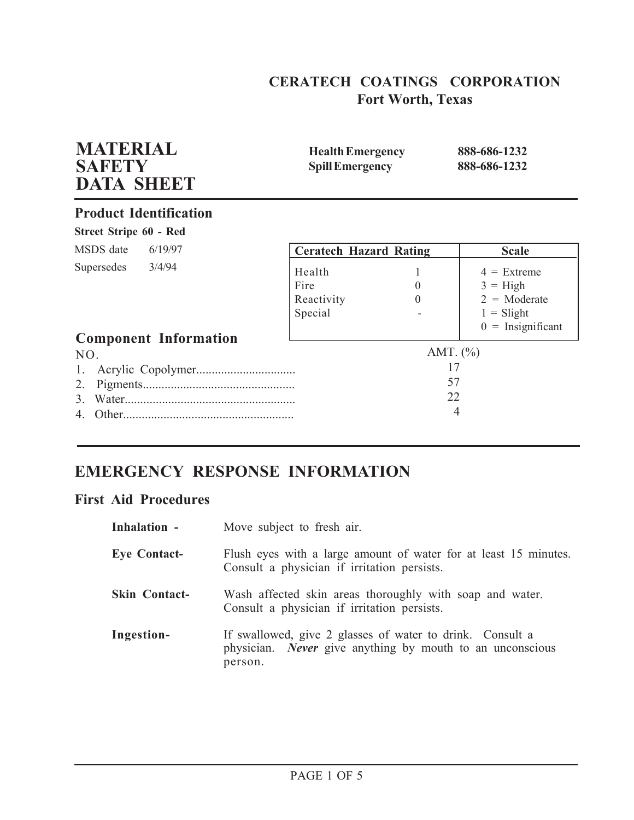## **CERATECH COATINGS CORPORATION Fort Worth, Texas**

| <b>MATERIAL</b><br><b>SAFETY</b><br><b>DATA SHEET</b> | <b>Health Emergency</b><br><b>Spill Emergency</b> |                          | 888-686-1232<br>888-686-1232                                                                |
|-------------------------------------------------------|---------------------------------------------------|--------------------------|---------------------------------------------------------------------------------------------|
| <b>Product Identification</b>                         |                                                   |                          |                                                                                             |
| Street Stripe 60 - Red                                |                                                   |                          |                                                                                             |
| MSDS date<br>6/19/97                                  | <b>Ceratech Hazard Rating</b>                     |                          | <b>Scale</b>                                                                                |
| 3/4/94<br>Supersedes<br><b>Component Information</b>  | Health<br>Fire<br>Reactivity<br>Special           | $\theta$<br>$\Omega$     | $4 =$ Extreme<br>$3 = High$<br>$2 = \text{Moderate}$<br>$1 =$ Slight<br>$0 =$ Insignificant |
| NO.<br>1.                                             |                                                   | AMT. $(\% )$<br>17<br>57 |                                                                                             |
| 2.                                                    |                                                   | 22<br>4                  |                                                                                             |

# **EMERGENCY RESPONSE INFORMATION**

## **First Aid Procedures**

| Inhalation -         | Move subject to fresh air.                                                                                                               |
|----------------------|------------------------------------------------------------------------------------------------------------------------------------------|
| <b>Eye Contact-</b>  | Flush eyes with a large amount of water for at least 15 minutes.<br>Consult a physician if irritation persists.                          |
| <b>Skin Contact-</b> | Wash affected skin areas thoroughly with soap and water.<br>Consult a physician if irritation persists.                                  |
| Ingestion-           | If swallowed, give 2 glasses of water to drink. Consult a<br>physician. <i>Never</i> give anything by mouth to an unconscious<br>person. |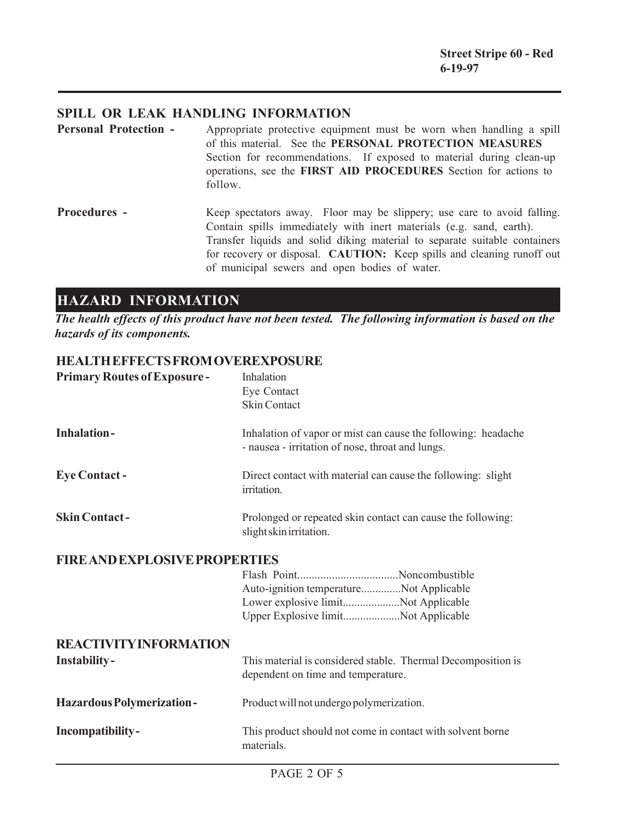## **SPILL OR LEAK HANDLING INFORMATION**

- **Personal Protection -** Appropriate protective equipment must be worn when handling a spill of this material. See the **PERSONAL PROTECTION MEASURES** Section for recommendations. If exposed to material during clean-up operations, see the **FIRST AID PROCEDURES** Section for actions to follow.
- **Procedures -** Keep spectators away. Floor may be slippery; use care to avoid falling. Contain spills immediately with inert materials (e.g. sand, earth). Transfer liquids and solid diking material to separate suitable containers for recovery or disposal. **CAUTION:** Keep spills and cleaning runoff out of municipal sewers and open bodies of water.

## **HAZARD INFORMATION**

*The health effects of this product have not been tested. The following information is based on the hazards of its components.*

### **HEALTH EFFECTS FROM OVEREXPOSURE**

| <b>Primary Routes of Exposure-</b>   | Inhalation<br>Eye Contact<br><b>Skin Contact</b>                                                                      |
|--------------------------------------|-----------------------------------------------------------------------------------------------------------------------|
| <b>Inhalation-</b>                   | Inhalation of vapor or mist can cause the following: headache<br>- nausea - irritation of nose, throat and lungs.     |
| <b>Eye Contact -</b>                 | Direct contact with material can cause the following: slight<br>irritation.                                           |
| <b>Skin Contact-</b>                 | Prolonged or repeated skin contact can cause the following:<br>slight skin irritation.                                |
| <b>FIRE AND EXPLOSIVE PROPERTIES</b> |                                                                                                                       |
|                                      | Auto-ignition temperatureNot Applicable<br>Lower explosive limitNot Applicable<br>Upper Explosive limitNot Applicable |
| <b>REACTIVITY INFORMATION</b>        |                                                                                                                       |
| <b>Instability-</b>                  | This material is considered stable. Thermal Decomposition is<br>dependent on time and temperature.                    |
| <b>Hazardous Polymerization-</b>     | Product will not undergo polymerization.                                                                              |
| Incompatibility-                     | This product should not come in contact with solvent borne<br>materials.                                              |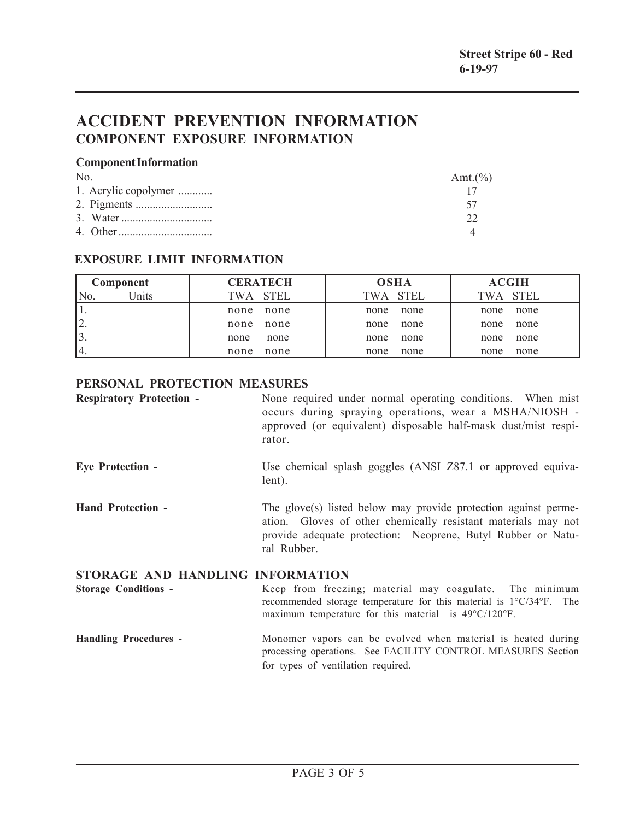## **ACCIDENT PREVENTION INFORMATION COMPONENT EXPOSURE INFORMATION**

#### **Component Information**

| $N_{0}$              | Amt. $(\%)$ |
|----------------------|-------------|
| 1. Acrylic copolymer |             |
|                      |             |
|                      |             |
|                      |             |

## **EXPOSURE LIMIT INFORMATION**

| Component                 | <b>CERATECH</b> | <b>OSHA</b> | <b>ACGIH</b> |
|---------------------------|-----------------|-------------|--------------|
| <sup>I</sup> Jnits<br>No. | TWA STEL        | TWA STEL    | TWA STEL     |
|                           | none            | none        | none         |
|                           | none            | none        | none         |
| ۷.                        | none            | none        | none         |
|                           | none            | none        | none         |
|                           | none            | none        | none         |
|                           | none            | none        | none         |
| 14.                       | none            | none        | none         |
|                           | none            | none        | none         |

## **PERSONAL PROTECTION MEASURES**

| <b>Respiratory Protection -</b>  | None required under normal operating conditions. When mist<br>occurs during spraying operations, wear a MSHA/NIOSH -<br>approved (or equivalent) disposable half-mask dust/mist respi-<br>rator.                |
|----------------------------------|-----------------------------------------------------------------------------------------------------------------------------------------------------------------------------------------------------------------|
| <b>Eye Protection -</b>          | Use chemical splash goggles (ANSI Z87.1 or approved equiva-<br>lent).                                                                                                                                           |
| <b>Hand Protection -</b>         | The glove(s) listed below may provide protection against perme-<br>ation. Gloves of other chemically resistant materials may not<br>provide adequate protection: Neoprene, Butyl Rubber or Natu-<br>ral Rubber. |
| STORAGE AND HANDLING INFORMATION |                                                                                                                                                                                                                 |

**Storage Conditions -** Keep from freezing; material may coagulate. The minimum recommended storage temperature for this material is 1°C/34°F. The maximum temperature for this material is 49°C/120°F.

#### **Handling Procedures** - Monomer vapors can be evolved when material is heated during processing operations. See FACILITY CONTROL MEASURES Section for types of ventilation required.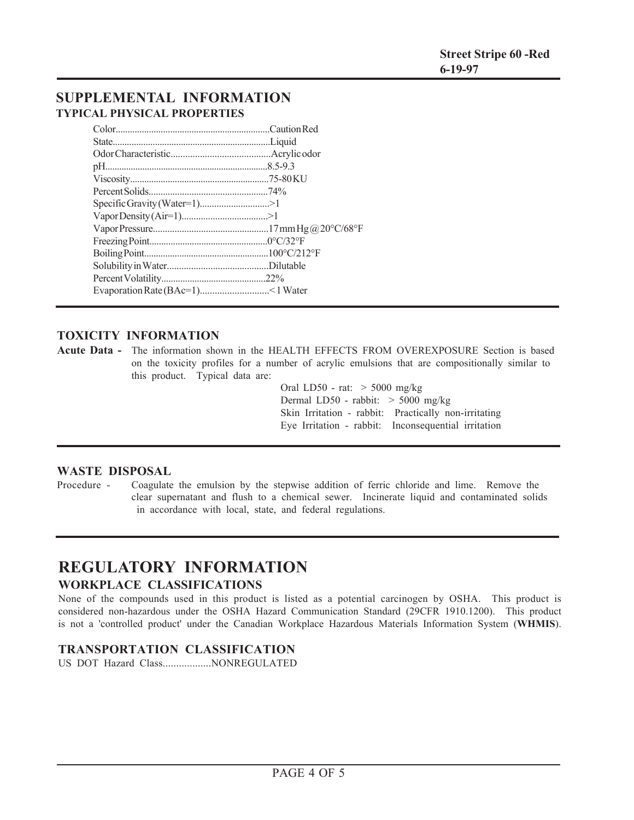## **SUPPLEMENTAL INFORMATION TYPICAL PHYSICAL PROPERTIES**

## **TOXICITY INFORMATION**

**Acute Data -** The information shown in the HEALTH EFFECTS FROM OVEREXPOSURE Section is based on the toxicity profiles for a number of acrylic emulsions that are compositionally similar to this product. Typical data are:

> Oral LD50 - rat: > 5000 mg/kg Dermal LD50 - rabbit: > 5000 mg/kg Skin Irritation - rabbit: Practically non-irritating Eye Irritation - rabbit: Inconsequential irritation

#### **WASTE DISPOSAL**

Procedure - Coagulate the emulsion by the stepwise addition of ferric chloride and lime. Remove the clear supernatant and flush to a chemical sewer. Incinerate liquid and contaminated solids in accordance with local, state, and federal regulations.

## **REGULATORY INFORMATION WORKPLACE CLASSIFICATIONS**

None of the compounds used in this product is listed as a potential carcinogen by OSHA. This product is considered non-hazardous under the OSHA Hazard Communication Standard (29CFR 1910.1200). This product is not a 'controlled product' under the Canadian Workplace Hazardous Materials Information System (**WHMIS**).

### **TRANSPORTATION CLASSIFICATION**

US DOT Hazard Class..................NONREGULATED